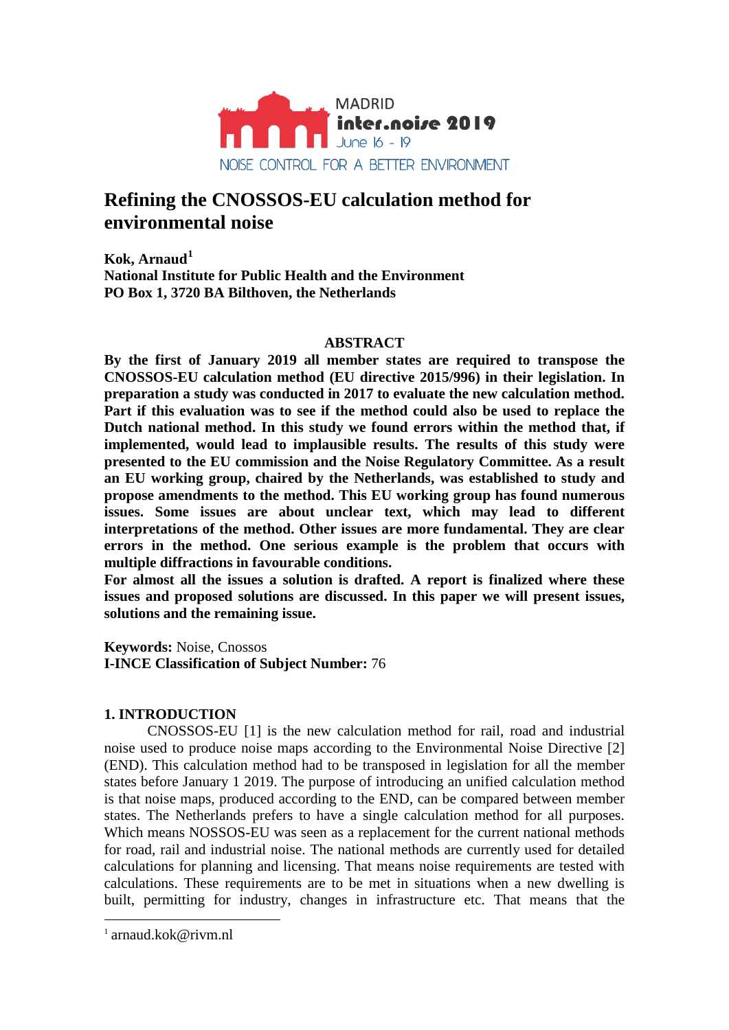

# **Refining the CNOSSOS-EU calculation method for environmental noise**

**Kok, Arnaud[1](#page-0-0) National Institute for Public Health and the Environment PO Box 1, 3720 BA Bilthoven, the Netherlands**

## **ABSTRACT**

**By the first of January 2019 all member states are required to transpose the CNOSSOS-EU calculation method (EU directive 2015/996) in their legislation. In preparation a study was conducted in 2017 to evaluate the new calculation method. Part if this evaluation was to see if the method could also be used to replace the Dutch national method. In this study we found errors within the method that, if implemented, would lead to implausible results. The results of this study were presented to the EU commission and the Noise Regulatory Committee. As a result an EU working group, chaired by the Netherlands, was established to study and propose amendments to the method. This EU working group has found numerous issues. Some issues are about unclear text, which may lead to different interpretations of the method. Other issues are more fundamental. They are clear errors in the method. One serious example is the problem that occurs with multiple diffractions in favourable conditions.** 

**For almost all the issues a solution is drafted. A report is finalized where these issues and proposed solutions are discussed. In this paper we will present issues, solutions and the remaining issue.** 

**Keywords:** Noise, Cnossos **I-INCE Classification of Subject Number:** 76

## **1. INTRODUCTION**

CNOSSOS-EU [1] is the new calculation method for rail, road and industrial noise used to produce noise maps according to the Environmental Noise Directive [2] (END). This calculation method had to be transposed in legislation for all the member states before January 1 2019. The purpose of introducing an unified calculation method is that noise maps, produced according to the END, can be compared between member states. The Netherlands prefers to have a single calculation method for all purposes. Which means NOSSOS-EU was seen as a replacement for the current national methods for road, rail and industrial noise. The national methods are currently used for detailed calculations for planning and licensing. That means noise requirements are tested with calculations. These requirements are to be met in situations when a new dwelling is built, permitting for industry, changes in infrastructure etc. That means that the

<span id="page-0-0"></span><sup>&</sup>lt;sup>1</sup> arnaud kok@rivm.nl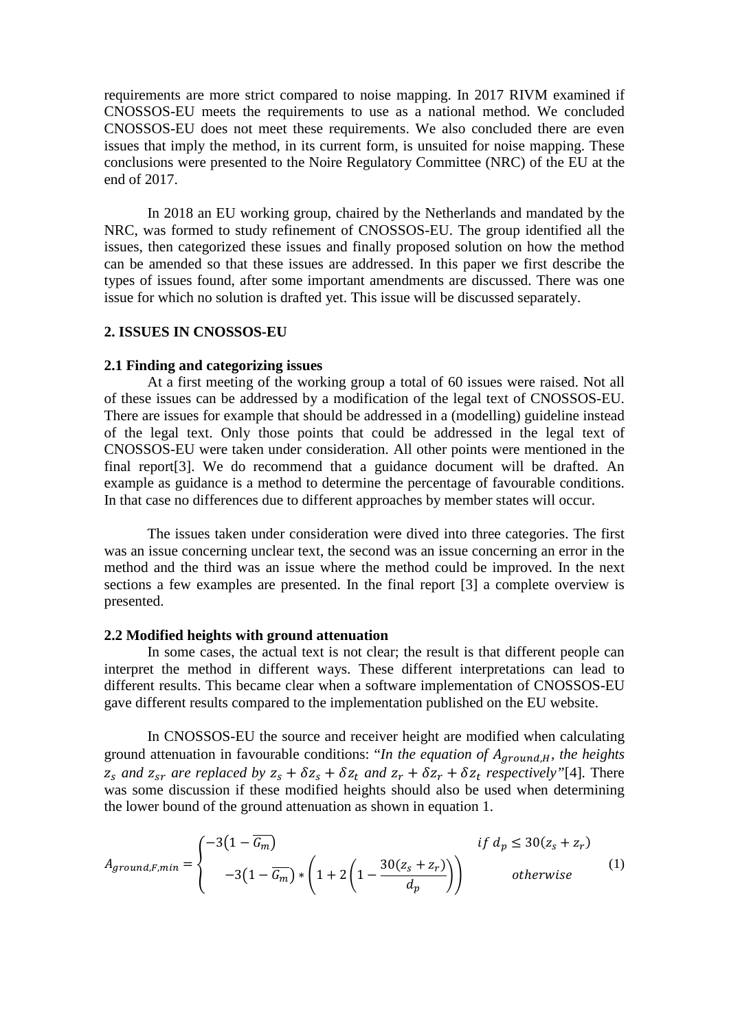requirements are more strict compared to noise mapping. In 2017 RIVM examined if CNOSSOS-EU meets the requirements to use as a national method. We concluded CNOSSOS-EU does not meet these requirements. We also concluded there are even issues that imply the method, in its current form, is unsuited for noise mapping. These conclusions were presented to the Noire Regulatory Committee (NRC) of the EU at the end of 2017.

In 2018 an EU working group, chaired by the Netherlands and mandated by the NRC, was formed to study refinement of CNOSSOS-EU. The group identified all the issues, then categorized these issues and finally proposed solution on how the method can be amended so that these issues are addressed. In this paper we first describe the types of issues found, after some important amendments are discussed. There was one issue for which no solution is drafted yet. This issue will be discussed separately.

# **2. ISSUES IN CNOSSOS-EU**

#### **2.1 Finding and categorizing issues**

At a first meeting of the working group a total of 60 issues were raised. Not all of these issues can be addressed by a modification of the legal text of CNOSSOS-EU. There are issues for example that should be addressed in a (modelling) guideline instead of the legal text. Only those points that could be addressed in the legal text of CNOSSOS-EU were taken under consideration. All other points were mentioned in the final report[3]. We do recommend that a guidance document will be drafted. An example as guidance is a method to determine the percentage of favourable conditions. In that case no differences due to different approaches by member states will occur.

The issues taken under consideration were dived into three categories. The first was an issue concerning unclear text, the second was an issue concerning an error in the method and the third was an issue where the method could be improved. In the next sections a few examples are presented. In the final report [3] a complete overview is presented.

#### **2.2 Modified heights with ground attenuation**

In some cases, the actual text is not clear; the result is that different people can interpret the method in different ways. These different interpretations can lead to different results. This became clear when a software implementation of CNOSSOS-EU gave different results compared to the implementation published on the EU website.

In CNOSSOS-EU the source and receiver height are modified when calculating ground attenuation in favourable conditions: "*In the equation of A<sub>ground, H</sub>, the heights*  $z_s$  *and*  $z_{sr}$  *are replaced by*  $z_s + \delta z_t + \delta z_t$  *and*  $z_r + \delta z_t + \delta z_t$  *respectively* <sup>"[4]</sup>*.* There was some discussion if these modified heights should also be used when determining the lower bound of the ground attenuation as shown in equation 1.

$$
A_{ground,F,min} = \begin{cases} -3\left(1 - \overline{G_m}\right) & \text{if } d_p \le 30(z_s + z_r) \\ -3\left(1 - \overline{G_m}\right) * \left(1 + 2\left(1 - \frac{30(z_s + z_r)}{d_p}\right)\right) & \text{otherwise} \end{cases} \tag{1}
$$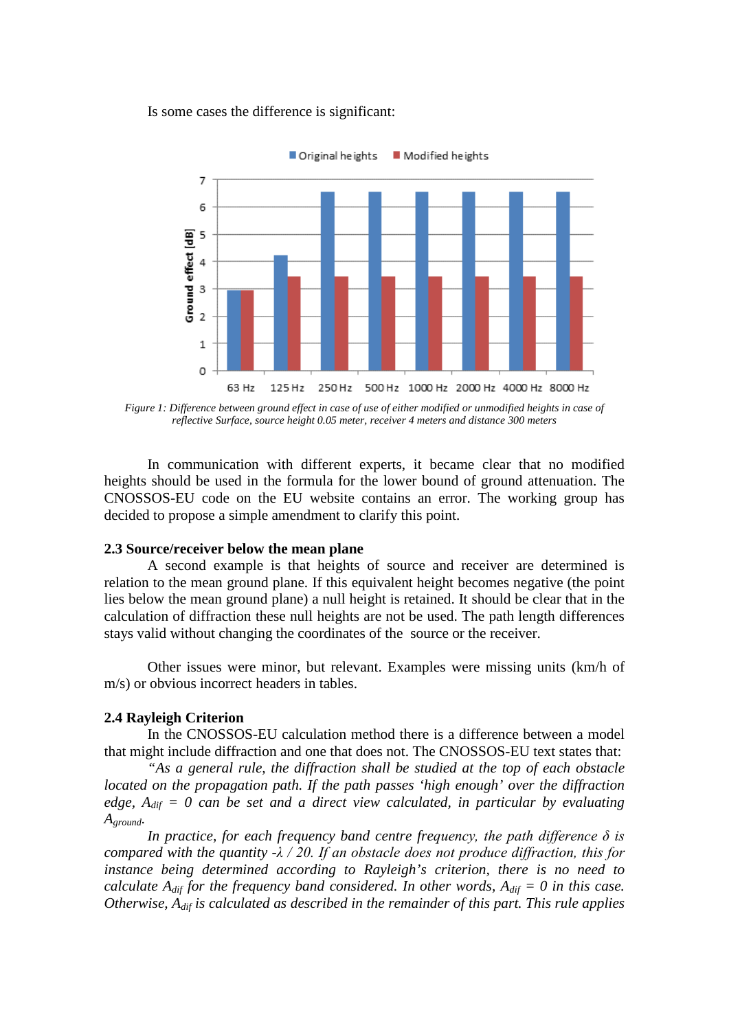Is some cases the difference is significant:



*Figure 1: Difference between ground effect in case of use of either modified or unmodified heights in case of reflective Surface, source height 0.05 meter, receiver 4 meters and distance 300 meters*

In communication with different experts, it became clear that no modified heights should be used in the formula for the lower bound of ground attenuation. The CNOSSOS-EU code on the EU website contains an error. The working group has decided to propose a simple amendment to clarify this point.

#### **2.3 Source/receiver below the mean plane**

A second example is that heights of source and receiver are determined is relation to the mean ground plane. If this equivalent height becomes negative (the point lies below the mean ground plane) a null height is retained. It should be clear that in the calculation of diffraction these null heights are not be used. The path length differences stays valid without changing the coordinates of the source or the receiver.

Other issues were minor, but relevant. Examples were missing units (km/h of m/s) or obvious incorrect headers in tables.

#### **2.4 Rayleigh Criterion**

In the CNOSSOS-EU calculation method there is a difference between a model that might include diffraction and one that does not. The CNOSSOS-EU text states that:

*"As a general rule, the diffraction shall be studied at the top of each obstacle located on the propagation path. If the path passes 'high enough' over the diffraction edge, Adif = 0 can be set and a direct view calculated, in particular by evaluating Aground.*

*In practice, for each frequency band centre frequency, the path difference δ is compared with the quantity -λ / 20. If an obstacle does not produce diffraction, this for instance being determined according to Rayleigh's criterion, there is no need to calculate*  $A_{dif}$  *for the frequency band considered. In other words,*  $A_{dif} = 0$  *in this case. Otherwise, Adif is calculated as described in the remainder of this part. This rule applies*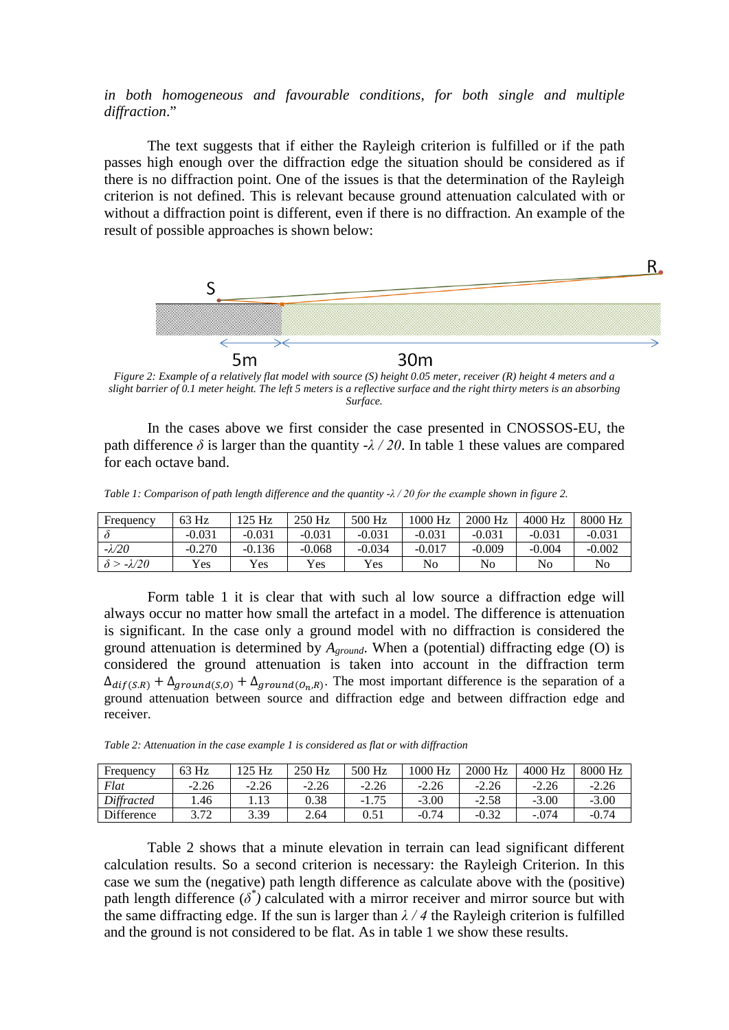# *in both homogeneous and favourable conditions, for both single and multiple diffraction*."

The text suggests that if either the Rayleigh criterion is fulfilled or if the path passes high enough over the diffraction edge the situation should be considered as if there is no diffraction point. One of the issues is that the determination of the Rayleigh criterion is not defined. This is relevant because ground attenuation calculated with or without a diffraction point is different, even if there is no diffraction. An example of the result of possible approaches is shown below:



*Figure 2: Example of a relatively flat model with source (S) height 0.05 meter, receiver (R) height 4 meters and a slight barrier of 0.1 meter height. The left 5 meters is a reflective surface and the right thirty meters is an absorbing Surface.*

In the cases above we first consider the case presented in CNOSSOS-EU, the path difference  $\delta$  is larger than the quantity  $-\lambda/20$ . In table 1 these values are compared for each octave band.

*Table 1: Comparison of path length difference and the quantity -λ / 20 for the example shown in figure 2.*

| Frequency     | 63 Hz    | $125$ Hz | 250 Hz     | 500 Hz   | 1000 Hz  | 2000 Hz  | 4000 Hz  | 8000 Hz  |
|---------------|----------|----------|------------|----------|----------|----------|----------|----------|
|               | $-0.031$ | $-0.031$ | $-0.031$   | $-0.031$ | $-0.031$ | $-0.031$ | $-0.031$ | $-0.031$ |
| $-\lambda/20$ | $-0.270$ | $-0.136$ | $-0.068$   | $-0.034$ | $-0.017$ | $-0.009$ | $-0.004$ | $-0.002$ |
| $-\lambda/20$ | Yes.     | Yes      | <b>Yes</b> | Yes.     | No       | No       | No       | No       |

Form table 1 it is clear that with such al low source a diffraction edge will always occur no matter how small the artefact in a model. The difference is attenuation is significant. In the case only a ground model with no diffraction is considered the ground attenuation is determined by  $A_{ground}$ . When a (potential) diffracting edge (O) is considered the ground attenuation is taken into account in the diffraction term  $\Delta_{diff(S,R)} + \Delta_{ground(S,O)} + \Delta_{ground(O_n,R)}$ . The most important difference is the separation of a ground attenuation between source and diffraction edge and between diffraction edge and receiver.

*Table 2: Attenuation in the case example 1 is considered as flat or with diffraction*

| Frequency         | 63 Hz   | 125 Hz  | 250 Hz  | 500 Hz  | 1000 Hz | 2000 Hz | 4000 Hz | 8000 Hz |
|-------------------|---------|---------|---------|---------|---------|---------|---------|---------|
| Flat              | $-2.26$ | $-2.26$ | $-2.26$ | $-2.26$ | $-2.26$ | $-2.26$ | $-2.26$ | $-2.26$ |
| Diffracted        | .46     |         | 0.38    | $-1.75$ | $-3.00$ | $-2.58$ | $-3.00$ | $-3.00$ |
| <b>Difference</b> | 3.72    | 3.39    | 2.64    |         | $-0.74$ | $-0.32$ | $-.074$ | $-0.74$ |

Table 2 shows that a minute elevation in terrain can lead significant different calculation results. So a second criterion is necessary: the Rayleigh Criterion. In this case we sum the (negative) path length difference as calculate above with the (positive) path length difference (*δ\* )* calculated with a mirror receiver and mirror source but with the same diffracting edge. If the sun is larger than  $\lambda / 4$  the Rayleigh criterion is fulfilled and the ground is not considered to be flat. As in table 1 we show these results.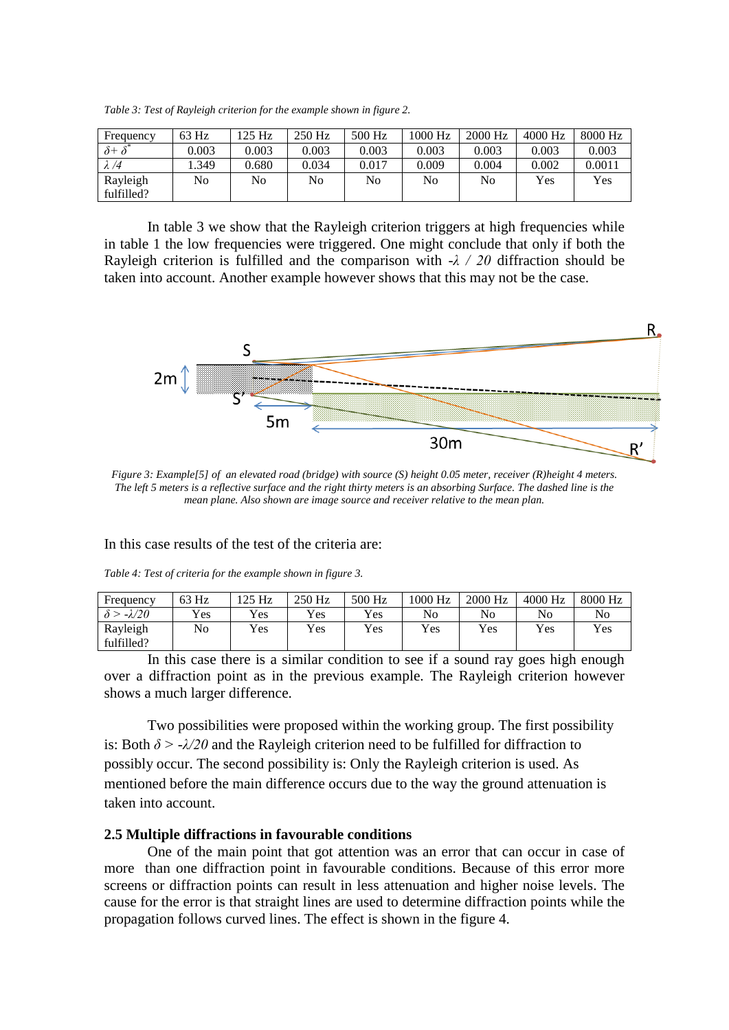*Table 3: Test of Rayleigh criterion for the example shown in figure 2.*

| Frequency                      | 63 Hz | 125 Hz | 250 Hz | 500 Hz | 1000 Hz | 2000 Hz | 4000 Hz | 8000 Hz |
|--------------------------------|-------|--------|--------|--------|---------|---------|---------|---------|
| $\overline{\delta^+} \delta^*$ | 0.003 | 0.003  | 0.003  | 0.003  | 0.003   | 0.003   | 0.003   | 0.003   |
| $\lambda/4$                    | .349  | 0.680  | 0.034  | 0.017  | 0.009   | 0.004   | 0.002   | 0.0011  |
| Rayleigh                       | No    | No     | No     | No     | No      | No      | Yes     | Yes     |
| fulfilled?                     |       |        |        |        |         |         |         |         |

In table 3 we show that the Rayleigh criterion triggers at high frequencies while in table 1 the low frequencies were triggered. One might conclude that only if both the Rayleigh criterion is fulfilled and the comparison with *-λ / 20* diffraction should be taken into account. Another example however shows that this may not be the case.



*Figure 3: Example[5] of an elevated road (bridge) with source (S) height 0.05 meter, receiver (R)height 4 meters. The left 5 meters is a reflective surface and the right thirty meters is an absorbing Surface. The dashed line is the mean plane. Also shown are image source and receiver relative to the mean plan.*

In this case results of the test of the criteria are:

|  | Table 4: Test of criteria for the example shown in figure 3. |  |  |  |
|--|--------------------------------------------------------------|--|--|--|
|  |                                                              |  |  |  |

| Frequency     | 63 Hz          | 125 Hz | 250 Hz     | 500 Hz | 1000 Hz | 2000 Hz    | 4000 Hz | 8000 Hz |
|---------------|----------------|--------|------------|--------|---------|------------|---------|---------|
| $-\lambda/20$ | Yes            | Yes    | <b>Yes</b> | Yes    | No      | No         | No      | No      |
| Rayleigh      | N <sub>0</sub> | Yes    | Yes        | Yes    | Yes     | <b>Yes</b> | Yes     | Yes     |
| fulfilled?    |                |        |            |        |         |            |         |         |

In this case there is a similar condition to see if a sound ray goes high enough over a diffraction point as in the previous example. The Rayleigh criterion however shows a much larger difference.

Two possibilities were proposed within the working group. The first possibility is: Both  $\delta$  >  $-\frac{\lambda}{20}$  and the Rayleigh criterion need to be fulfilled for diffraction to possibly occur. The second possibility is: Only the Rayleigh criterion is used. As mentioned before the main difference occurs due to the way the ground attenuation is taken into account.

## **2.5 Multiple diffractions in favourable conditions**

One of the main point that got attention was an error that can occur in case of more than one diffraction point in favourable conditions. Because of this error more screens or diffraction points can result in less attenuation and higher noise levels. The cause for the error is that straight lines are used to determine diffraction points while the propagation follows curved lines. The effect is shown in the figure 4.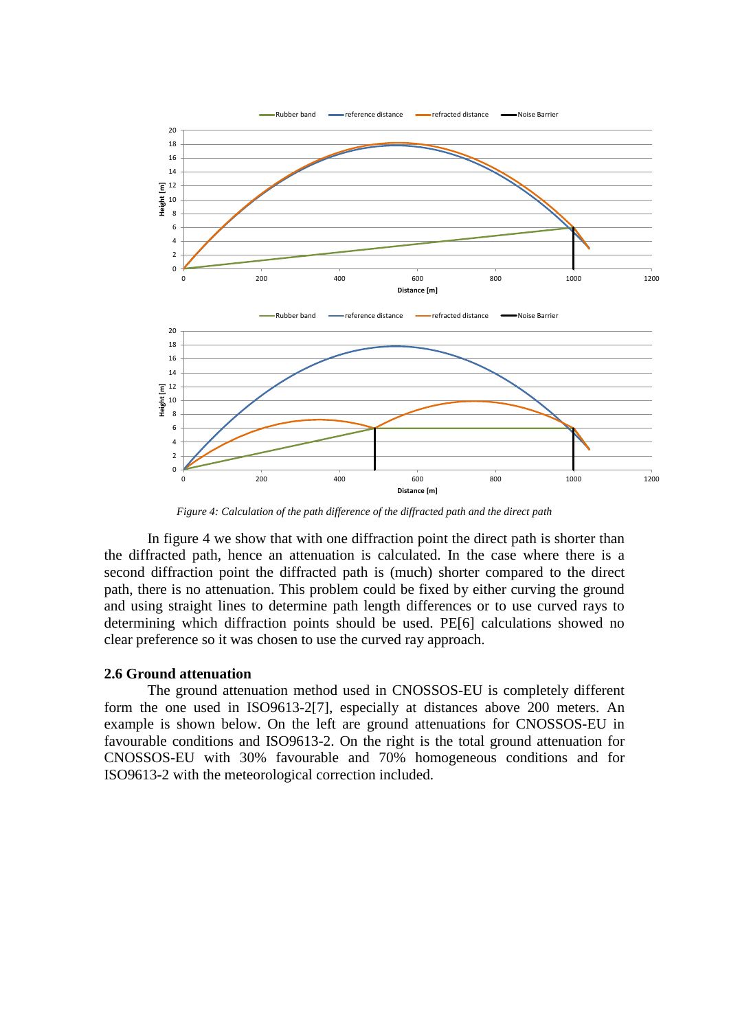

*Figure 4: Calculation of the path difference of the diffracted path and the direct path*

In figure 4 we show that with one diffraction point the direct path is shorter than the diffracted path, hence an attenuation is calculated. In the case where there is a second diffraction point the diffracted path is (much) shorter compared to the direct path, there is no attenuation. This problem could be fixed by either curving the ground and using straight lines to determine path length differences or to use curved rays to determining which diffraction points should be used. PE[6] calculations showed no clear preference so it was chosen to use the curved ray approach.

#### **2.6 Ground attenuation**

The ground attenuation method used in CNOSSOS-EU is completely different form the one used in ISO9613-2[7], especially at distances above 200 meters. An example is shown below. On the left are ground attenuations for CNOSSOS-EU in favourable conditions and ISO9613-2. On the right is the total ground attenuation for CNOSSOS-EU with 30% favourable and 70% homogeneous conditions and for ISO9613-2 with the meteorological correction included.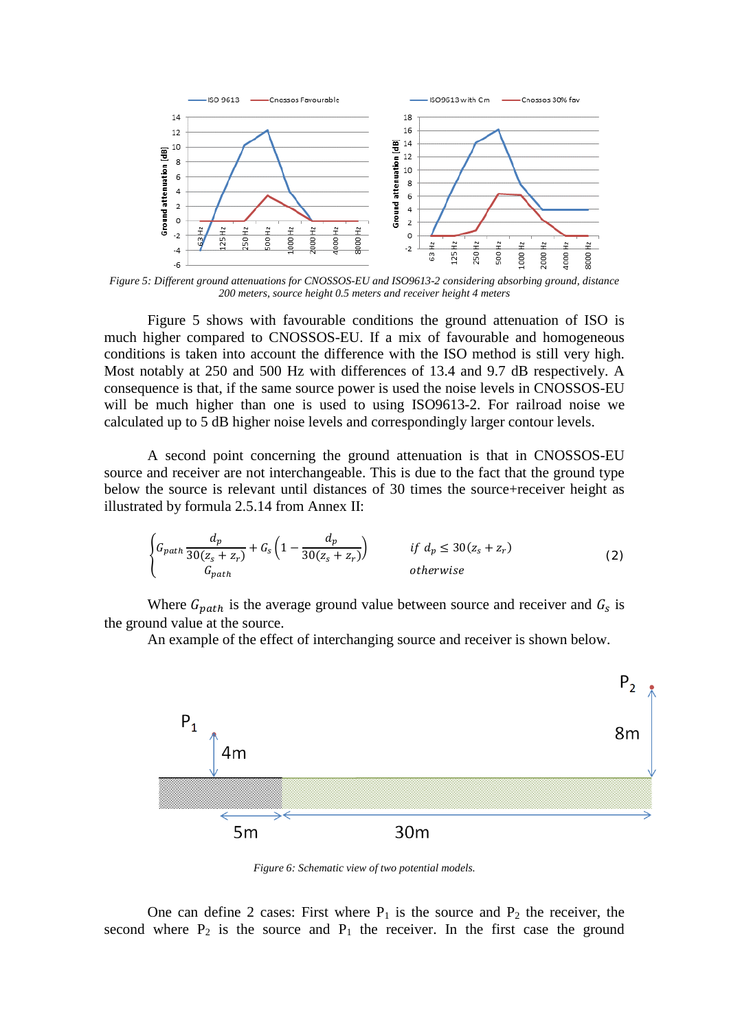

*Figure 5: Different ground attenuations for CNOSSOS-EU and ISO9613-2 considering absorbing ground, distance 200 meters, source height 0.5 meters and receiver height 4 meters*

Figure 5 shows with favourable conditions the ground attenuation of ISO is much higher compared to CNOSSOS-EU. If a mix of favourable and homogeneous conditions is taken into account the difference with the ISO method is still very high. Most notably at 250 and 500 Hz with differences of 13.4 and 9.7 dB respectively. A consequence is that, if the same source power is used the noise levels in CNOSSOS-EU will be much higher than one is used to using ISO9613-2. For railroad noise we calculated up to 5 dB higher noise levels and correspondingly larger contour levels.

A second point concerning the ground attenuation is that in CNOSSOS-EU source and receiver are not interchangeable. This is due to the fact that the ground type below the source is relevant until distances of 30 times the source+receiver height as illustrated by formula 2.5.14 from Annex II:

$$
\begin{cases}\nG_{path} \frac{d_p}{30(z_s + z_r)} + G_s \left(1 - \frac{d_p}{30(z_s + z_r)}\right) & \text{if } d_p \le 30(z_s + z_r) \\
G_{path} & \text{otherwise}\n\end{cases}
$$
\n(2)

Where  $G_{path}$  is the average ground value between source and receiver and  $G_s$  is the ground value at the source.

An example of the effect of interchanging source and receiver is shown below.



*Figure 6: Schematic view of two potential models.*

One can define 2 cases: First where  $P_1$  is the source and  $P_2$  the receiver, the second where  $P_2$  is the source and  $P_1$  the receiver. In the first case the ground